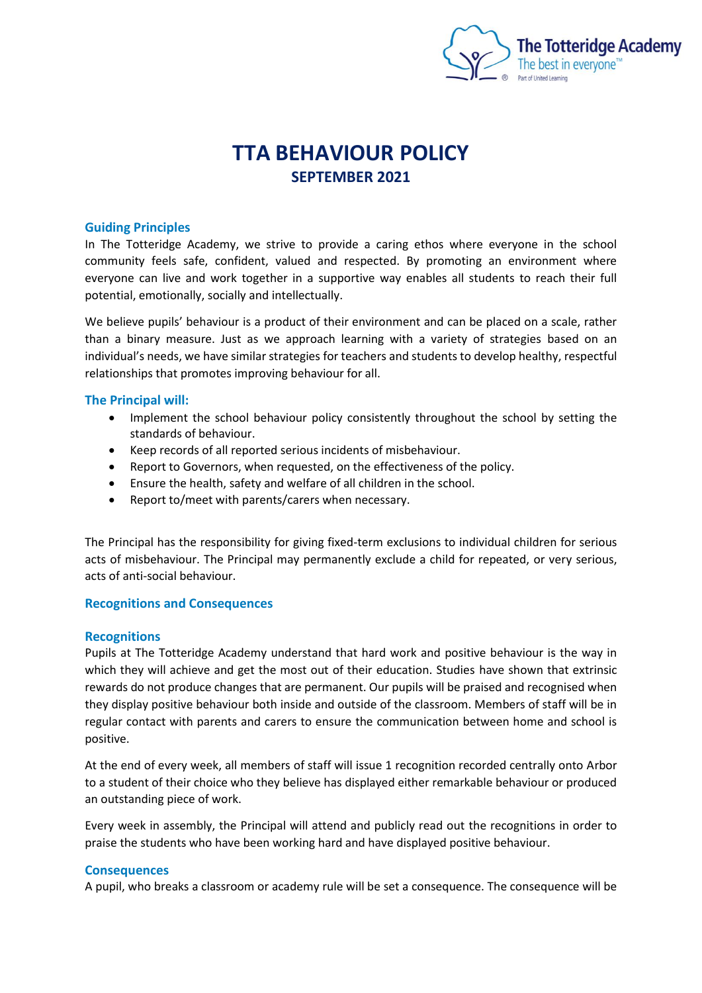

# **TTA BEHAVIOUR POLICY SEPTEMBER 2021**

## **Guiding Principles**

In The Totteridge Academy, we strive to provide a caring ethos where everyone in the school community feels safe, confident, valued and respected. By promoting an environment where everyone can live and work together in a supportive way enables all students to reach their full potential, emotionally, socially and intellectually.

We believe pupils' behaviour is a product of their environment and can be placed on a scale, rather than a binary measure. Just as we approach learning with a variety of strategies based on an individual's needs, we have similar strategies for teachers and students to develop healthy, respectful relationships that promotes improving behaviour for all.

# **The Principal will:**

- Implement the school behaviour policy consistently throughout the school by setting the standards of behaviour.
- Keep records of all reported serious incidents of misbehaviour.
- Report to Governors, when requested, on the effectiveness of the policy.
- Ensure the health, safety and welfare of all children in the school.
- Report to/meet with parents/carers when necessary.

The Principal has the responsibility for giving fixed-term exclusions to individual children for serious acts of misbehaviour. The Principal may permanently exclude a child for repeated, or very serious, acts of anti-social behaviour.

## **Recognitions and Consequences**

## **Recognitions**

Pupils at The Totteridge Academy understand that hard work and positive behaviour is the way in which they will achieve and get the most out of their education. Studies have shown that extrinsic rewards do not produce changes that are permanent. Our pupils will be praised and recognised when they display positive behaviour both inside and outside of the classroom. Members of staff will be in regular contact with parents and carers to ensure the communication between home and school is positive.

At the end of every week, all members of staff will issue 1 recognition recorded centrally onto Arbor to a student of their choice who they believe has displayed either remarkable behaviour or produced an outstanding piece of work.

Every week in assembly, the Principal will attend and publicly read out the recognitions in order to praise the students who have been working hard and have displayed positive behaviour.

## **Consequences**

A pupil, who breaks a classroom or academy rule will be set a consequence. The consequence will be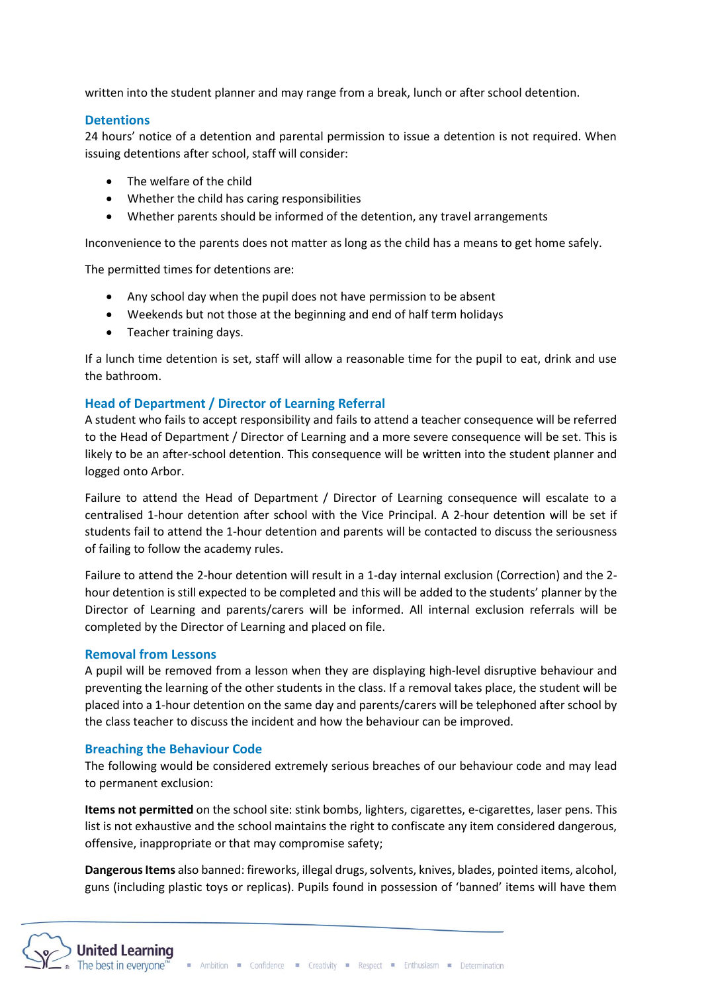written into the student planner and may range from a break, lunch or after school detention.

## **Detentions**

24 hours' notice of a detention and parental permission to issue a detention is not required. When issuing detentions after school, staff will consider:

- The welfare of the child
- Whether the child has caring responsibilities
- Whether parents should be informed of the detention, any travel arrangements

Inconvenience to the parents does not matter as long as the child has a means to get home safely.

The permitted times for detentions are:

- Any school day when the pupil does not have permission to be absent
- Weekends but not those at the beginning and end of half term holidays
- Teacher training days.

If a lunch time detention is set, staff will allow a reasonable time for the pupil to eat, drink and use the bathroom.

# **Head of Department / Director of Learning Referral**

A student who fails to accept responsibility and fails to attend a teacher consequence will be referred to the Head of Department / Director of Learning and a more severe consequence will be set. This is likely to be an after-school detention. This consequence will be written into the student planner and logged onto Arbor.

Failure to attend the Head of Department / Director of Learning consequence will escalate to a centralised 1-hour detention after school with the Vice Principal. A 2-hour detention will be set if students fail to attend the 1-hour detention and parents will be contacted to discuss the seriousness of failing to follow the academy rules.

Failure to attend the 2-hour detention will result in a 1-day internal exclusion (Correction) and the 2 hour detention is still expected to be completed and this will be added to the students' planner by the Director of Learning and parents/carers will be informed. All internal exclusion referrals will be completed by the Director of Learning and placed on file.

## **Removal from Lessons**

A pupil will be removed from a lesson when they are displaying high-level disruptive behaviour and preventing the learning of the other students in the class. If a removal takes place, the student will be placed into a 1-hour detention on the same day and parents/carers will be telephoned after school by the class teacher to discuss the incident and how the behaviour can be improved.

## **Breaching the Behaviour Code**

The following would be considered extremely serious breaches of our behaviour code and may lead to permanent exclusion:

**Items not permitted** on the school site: stink bombs, lighters, cigarettes, e-cigarettes, laser pens. This list is not exhaustive and the school maintains the right to confiscate any item considered dangerous, offensive, inappropriate or that may compromise safety;

**Dangerous Items** also banned: fireworks, illegal drugs, solvents, knives, blades, pointed items, alcohol, guns (including plastic toys or replicas). Pupils found in possession of 'banned' items will have them

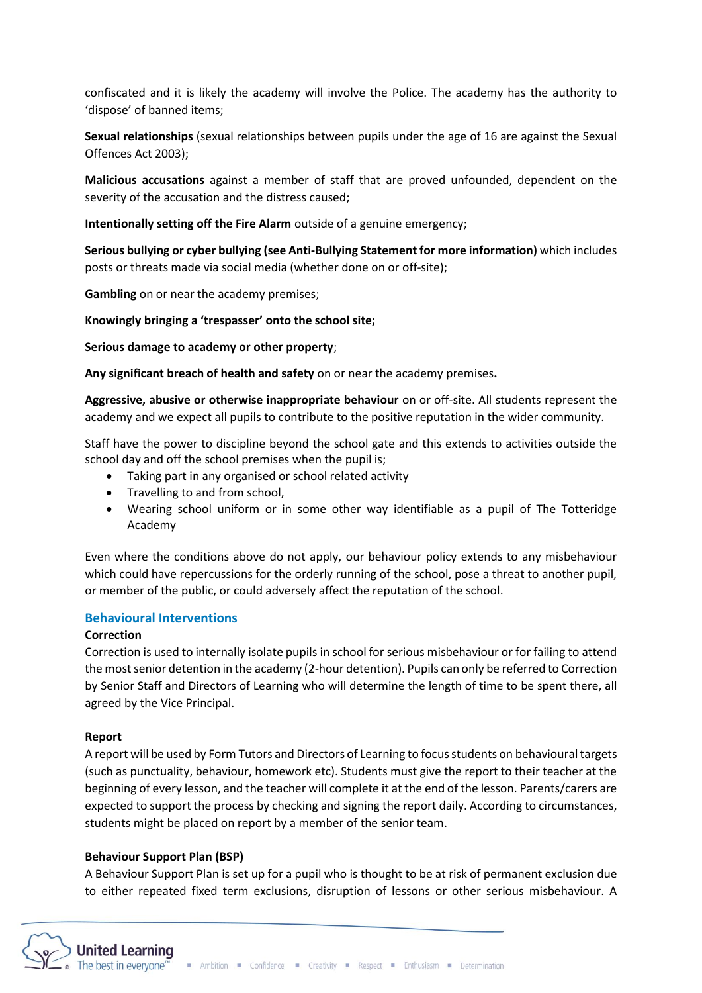confiscated and it is likely the academy will involve the Police. The academy has the authority to 'dispose' of banned items;

**Sexual relationships** (sexual relationships between pupils under the age of 16 are against the Sexual Offences Act 2003);

**Malicious accusations** against a member of staff that are proved unfounded, dependent on the severity of the accusation and the distress caused;

**Intentionally setting off the Fire Alarm** outside of a genuine emergency;

**Serious bullying or cyber bullying (see Anti-Bullying Statement for more information)** which includes posts or threats made via social media (whether done on or off-site);

**Gambling** on or near the academy premises;

**Knowingly bringing a 'trespasser' onto the school site;**

**Serious damage to academy or other property**;

**Any significant breach of health and safety** on or near the academy premises**.**

**Aggressive, abusive or otherwise inappropriate behaviour** on or off-site. All students represent the academy and we expect all pupils to contribute to the positive reputation in the wider community.

Staff have the power to discipline beyond the school gate and this extends to activities outside the school day and off the school premises when the pupil is;

- Taking part in any organised or school related activity
- Travelling to and from school,
- Wearing school uniform or in some other way identifiable as a pupil of The Totteridge Academy

Even where the conditions above do not apply, our behaviour policy extends to any misbehaviour which could have repercussions for the orderly running of the school, pose a threat to another pupil, or member of the public, or could adversely affect the reputation of the school.

# **Behavioural Interventions**

## **Correction**

Correction is used to internally isolate pupils in school for serious misbehaviour or for failing to attend the most senior detention in the academy (2-hour detention). Pupils can only be referred to Correction by Senior Staff and Directors of Learning who will determine the length of time to be spent there, all agreed by the Vice Principal.

## **Report**

A report will be used by Form Tutors and Directors of Learning to focus students on behaviouraltargets (such as punctuality, behaviour, homework etc). Students must give the report to their teacher at the beginning of every lesson, and the teacher will complete it at the end of the lesson. Parents/carers are expected to support the process by checking and signing the report daily. According to circumstances, students might be placed on report by a member of the senior team.

## **Behaviour Support Plan (BSP)**

A Behaviour Support Plan is set up for a pupil who is thought to be at risk of permanent exclusion due to either repeated fixed term exclusions, disruption of lessons or other serious misbehaviour. A

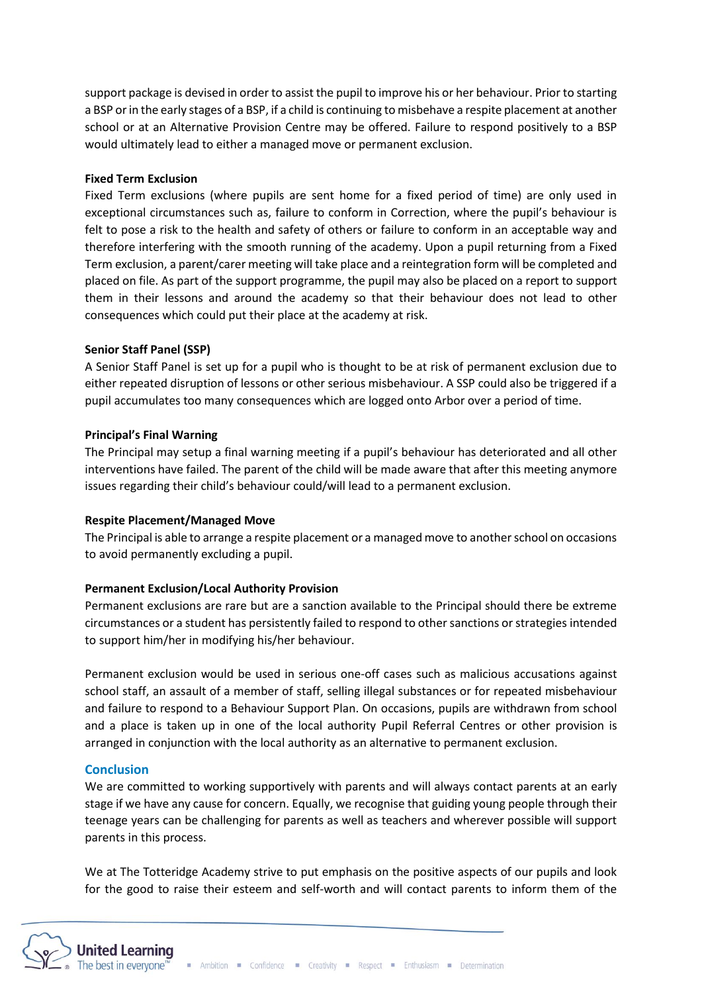support package is devised in order to assist the pupil to improve his or her behaviour. Prior to starting a BSP or in the early stages of a BSP, if a child is continuing to misbehave a respite placement at another school or at an Alternative Provision Centre may be offered. Failure to respond positively to a BSP would ultimately lead to either a managed move or permanent exclusion.

## **Fixed Term Exclusion**

Fixed Term exclusions (where pupils are sent home for a fixed period of time) are only used in exceptional circumstances such as, failure to conform in Correction, where the pupil's behaviour is felt to pose a risk to the health and safety of others or failure to conform in an acceptable way and therefore interfering with the smooth running of the academy. Upon a pupil returning from a Fixed Term exclusion, a parent/carer meeting will take place and a reintegration form will be completed and placed on file. As part of the support programme, the pupil may also be placed on a report to support them in their lessons and around the academy so that their behaviour does not lead to other consequences which could put their place at the academy at risk.

# **Senior Staff Panel (SSP)**

A Senior Staff Panel is set up for a pupil who is thought to be at risk of permanent exclusion due to either repeated disruption of lessons or other serious misbehaviour. A SSP could also be triggered if a pupil accumulates too many consequences which are logged onto Arbor over a period of time.

# **Principal's Final Warning**

The Principal may setup a final warning meeting if a pupil's behaviour has deteriorated and all other interventions have failed. The parent of the child will be made aware that after this meeting anymore issues regarding their child's behaviour could/will lead to a permanent exclusion.

## **Respite Placement/Managed Move**

The Principal is able to arrange a respite placement or a managed move to another school on occasions to avoid permanently excluding a pupil.

# **Permanent Exclusion/Local Authority Provision**

Permanent exclusions are rare but are a sanction available to the Principal should there be extreme circumstances or a student has persistently failed to respond to other sanctions or strategies intended to support him/her in modifying his/her behaviour.

Permanent exclusion would be used in serious one-off cases such as malicious accusations against school staff, an assault of a member of staff, selling illegal substances or for repeated misbehaviour and failure to respond to a Behaviour Support Plan. On occasions, pupils are withdrawn from school and a place is taken up in one of the local authority Pupil Referral Centres or other provision is arranged in conjunction with the local authority as an alternative to permanent exclusion.

## **Conclusion**

We are committed to working supportively with parents and will always contact parents at an early stage if we have any cause for concern. Equally, we recognise that guiding young people through their teenage years can be challenging for parents as well as teachers and wherever possible will support parents in this process.

We at The Totteridge Academy strive to put emphasis on the positive aspects of our pupils and look for the good to raise their esteem and self-worth and will contact parents to inform them of the